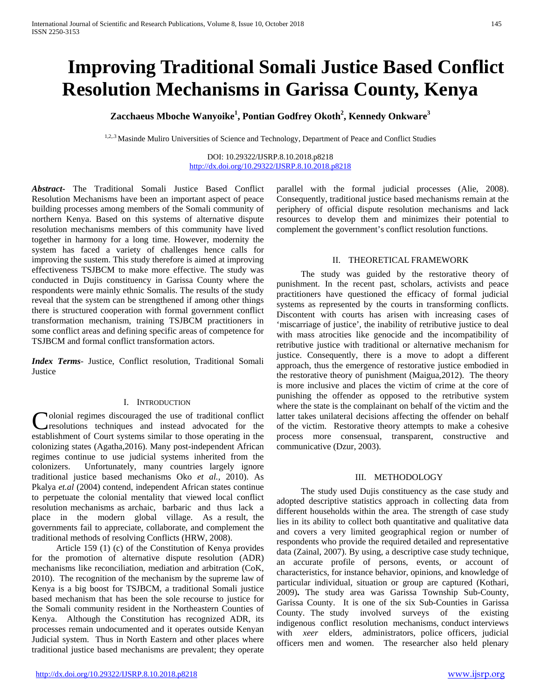# **Improving Traditional Somali Justice Based Conflict Resolution Mechanisms in Garissa County, Kenya**

# **Zacchaeus Mboche Wanyoike1 , Pontian Godfrey Okoth<sup>2</sup> , Kennedy Onkware<sup>3</sup>**

1,2,.3 Masinde Muliro Universities of Science and Technology, Department of Peace and Conflict Studies

DOI: 10.29322/IJSRP.8.10.2018.p8218 <http://dx.doi.org/10.29322/IJSRP.8.10.2018.p8218>

*Abstract***-** The Traditional Somali Justice Based Conflict Resolution Mechanisms have been an important aspect of peace building processes among members of the Somali community of northern Kenya. Based on this systems of alternative dispute resolution mechanisms members of this community have lived together in harmony for a long time. However, modernity the system has faced a variety of challenges hence calls for improving the sustem. This study therefore is aimed at improving effectiveness TSJBCM to make more effective. The study was conducted in Dujis constituency in Garissa County where the respondents were mainly ethnic Somalis. The results of the study reveal that the system can be strengthened if among other things there is structured cooperation with formal government conflict transformation mechanism, training TSJBCM practitioners in some conflict areas and defining specific areas of competence for TSJBCM and formal conflict transformation actors.

*Index Terms*- Justice, Conflict resolution, Traditional Somali **Justice** 

#### I. INTRODUCTION

olonial regimes discouraged the use of traditional conflict resolutions techniques and instead advocated for the Colonial regimes discouraged the use of traditional conflict resolutions techniques and instead advocated for the establishment of Court systems similar to those operating in the colonizing states (Agatha,2016). Many post-independent African regimes continue to use judicial systems inherited from the colonizers. Unfortunately, many countries largely ignore traditional justice based mechanisms Oko *et al.,* 2010). As Pkalya *et.al* (2004) contend, independent African states continue to perpetuate the colonial mentality that viewed local conflict resolution mechanisms as archaic, barbaric and thus lack a place in the modern global village. As a result, the governments fail to appreciate, collaborate, and complement the traditional methods of resolving Conflicts (HRW, 2008).

 Article 159 (1) (c) of the Constitution of Kenya provides for the promotion of alternative dispute resolution (ADR) mechanisms like reconciliation, mediation and arbitration (CoK, 2010). The recognition of the mechanism by the supreme law of Kenya is a big boost for TSJBCM, a traditional Somali justice based mechanism that has been the sole recourse to justice for the Somali community resident in the Northeastern Counties of Kenya. Although the Constitution has recognized ADR, its processes remain undocumented and it operates outside Kenyan Judicial system. Thus in North Eastern and other places where traditional justice based mechanisms are prevalent; they operate

parallel with the formal judicial processes (Alie, 2008). Consequently, traditional justice based mechanisms remain at the periphery of official dispute resolution mechanisms and lack resources to develop them and minimizes their potential to complement the government's conflict resolution functions.

#### II. THEORETICAL FRAMEWORK

 The study was guided by the restorative theory of punishment. In the recent past, scholars, activists and peace practitioners have questioned the efficacy of formal judicial systems as represented by the courts in transforming conflicts. Discontent with courts has arisen with increasing cases of 'miscarriage of justice', the inability of retributive justice to deal with mass atrocities like genocide and the incompatibility of retributive justice with traditional or alternative mechanism for justice. Consequently, there is a move to adopt a different approach, thus the emergence of restorative justice embodied in the restorative theory of punishment (Maigua,2012). The theory is more inclusive and places the victim of crime at the core of punishing the offender as opposed to the retributive system where the state is the complainant on behalf of the victim and the latter takes unilateral decisions affecting the offender on behalf of the victim. Restorative theory attempts to make a cohesive process more consensual, transparent, constructive and communicative (Dzur, 2003).

#### III. METHODOLOGY

 The study used Dujis constituency as the case study and adopted descriptive statistics approach in collecting data from different households within the area. The strength of case study lies in its ability to collect both quantitative and qualitative data and covers a very limited geographical region or number of respondents who provide the required detailed and representative data (Zainal, 2007). By using, a descriptive case study technique, an accurate profile of persons, events, or account of characteristics, for instance behavior, opinions, and knowledge of particular individual, situation or group are captured (Kothari, 2009)**.** The study area was Garissa Township Sub-County, Garissa County. It is one of the six Sub-Counties in Garissa County. The study involved surveys of the existing indigenous conflict resolution mechanisms, conduct interviews with *xeer* elders, administrators, police officers, judicial officers men and women. The researcher also held plenary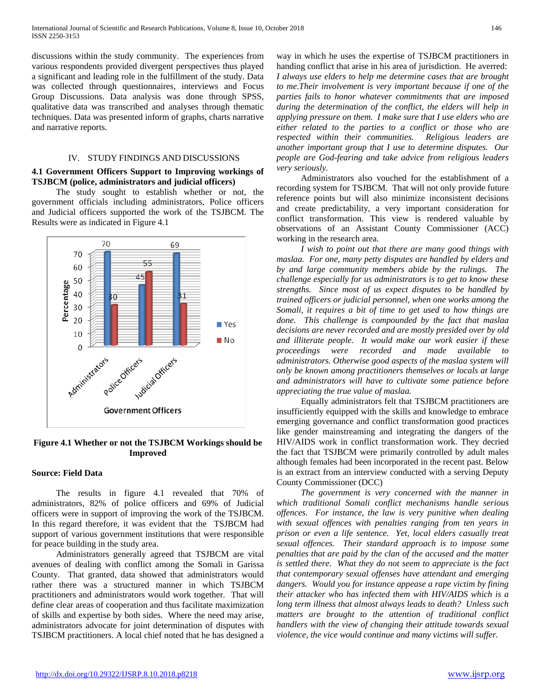discussions within the study community. The experiences from various respondents provided divergent perspectives thus played a significant and leading role in the fulfillment of the study. Data was collected through questionnaires, interviews and Focus Group Discussions. Data analysis was done through SPSS, qualitative data was transcribed and analyses through thematic techniques. Data was presented inform of graphs, charts narrative and narrative reports.

#### IV. STUDY FINDINGS AND DISCUSSIONS

## **4.1 Government Officers Support to Improving workings of TSJBCM (police, administrators and judicial officers)**

 The study sought to establish whether or not, the government officials including administrators, Police officers and Judicial officers supported the work of the TSJBCM. The Results were as indicated in Figure 4.1



# **Figure 4.1 Whether or not the TSJBCM Workings should be Improved**

#### **Source: Field Data**

 The results in figure 4.1 revealed that 70% of administrators, 82% of police officers and 69% of Judicial officers were in support of improving the work of the TSJBCM. In this regard therefore, it was evident that the TSJBCM had support of various government institutions that were responsible for peace building in the study area.

 Administrators generally agreed that TSJBCM are vital avenues of dealing with conflict among the Somali in Garissa County. That granted, data showed that administrators would rather there was a structured manner in which TSJBCM practitioners and administrators would work together. That will define clear areas of cooperation and thus facilitate maximization of skills and expertise by both sides. Where the need may arise, administrators advocate for joint determination of disputes with TSJBCM practitioners. A local chief noted that he has designed a way in which he uses the expertise of TSJBCM practitioners in handing conflict that arise in his area of jurisdiction. He averred: *I always use elders to help me determine cases that are brought to me.Their involvement is very important because if one of the parties fails to honor whatever commitments that are imposed during the determination of the conflict, the elders will help in applying pressure on them. I make sure that I use elders who are either related to the parties to a conflict or those who are respected within their communities. Religious leaders are another important group that I use to determine disputes. Our people are God-fearing and take advice from religious leaders very seriously.* 

 Administrators also vouched for the establishment of a recording system for TSJBCM. That will not only provide future reference points but will also minimize inconsistent decisions and create predictability, a very important consideration for conflict transformation. This view is rendered valuable by observations of an Assistant County Commissioner (ACC) working in the research area.

 *I wish to point out that there are many good things with maslaa. For one, many petty disputes are handled by elders and by and large community members abide by the rulings. The challenge especially for us administrators is to get to know these strengths. Since most of us expect disputes to be handled by trained officers or judicial personnel, when one works among the Somali, it requires a bit of time to get used to how things are done. This challenge is compounded by the fact that maslaa decisions are never recorded and are mostly presided over by old and illiterate people. It would make our work easier if these proceedings were recorded and made available to administrators. Otherwise good aspects of the maslaa system will only be known among practitioners themselves or locals at large and administrators will have to cultivate some patience before appreciating the true value of maslaa.* 

 Equally administrators felt that TSJBCM practitioners are insufficiently equipped with the skills and knowledge to embrace emerging governance and conflict transformation good practices like gender mainstreaming and integrating the dangers of the HIV/AIDS work in conflict transformation work. They decried the fact that TSJBCM were primarily controlled by adult males although females had been incorporated in the recent past. Below is an extract from an interview conducted with a serving Deputy County Commissioner (DCC)

 *The government is very concerned with the manner in which traditional Somali conflict mechanisms handle serious offences. For instance, the law is very punitive when dealing with sexual offences with penalties ranging from ten years in prison or even a life sentence. Yet, local elders casually treat sexual offences. Their standard approach is to impose some penalties that are paid by the clan of the accused and the matter is settled there. What they do not seem to appreciate is the fact that contemporary sexual offenses have attendant and emerging dangers. Would you for instance appease a rape victim by fining their attacker who has infected them with HIV/AIDS which is a long term illness that almost always leads to death? Unless such matters are brought to the attention of traditional conflict handlers with the view of changing their attitude towards sexual violence, the vice would continue and many victims will suffer.*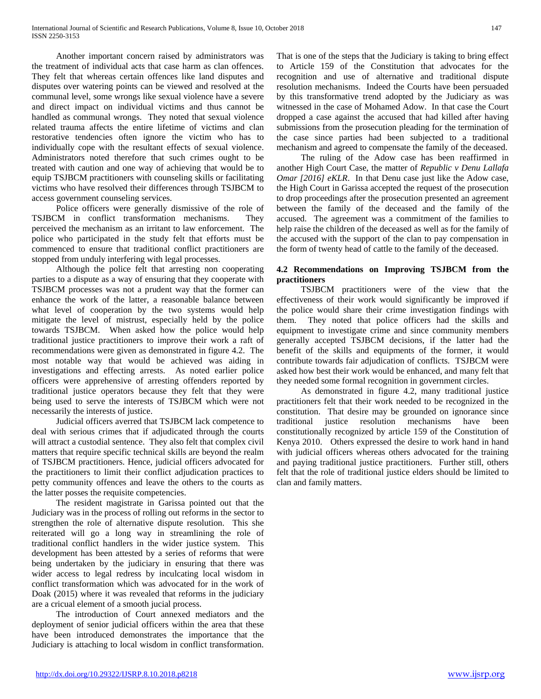Another important concern raised by administrators was the treatment of individual acts that case harm as clan offences. They felt that whereas certain offences like land disputes and disputes over watering points can be viewed and resolved at the communal level, some wrongs like sexual violence have a severe and direct impact on individual victims and thus cannot be handled as communal wrongs. They noted that sexual violence related trauma affects the entire lifetime of victims and clan restorative tendencies often ignore the victim who has to individually cope with the resultant effects of sexual violence. Administrators noted therefore that such crimes ought to be treated with caution and one way of achieving that would be to equip TSJBCM practitioners with counseling skills or facilitating victims who have resolved their differences through TSJBCM to access government counseling services.

 Police officers were generally dismissive of the role of TSJBCM in conflict transformation mechanisms. They perceived the mechanism as an irritant to law enforcement. The police who participated in the study felt that efforts must be commenced to ensure that traditional conflict practitioners are stopped from unduly interfering with legal processes.

 Although the police felt that arresting non cooperating parties to a dispute as a way of ensuring that they cooperate with TSJBCM processes was not a prudent way that the former can enhance the work of the latter, a reasonable balance between what level of cooperation by the two systems would help mitigate the level of mistrust, especially held by the police towards TSJBCM. When asked how the police would help traditional justice practitioners to improve their work a raft of recommendations were given as demonstrated in figure 4.2. The most notable way that would be achieved was aiding in investigations and effecting arrests. As noted earlier police officers were apprehensive of arresting offenders reported by traditional justice operators because they felt that they were being used to serve the interests of TSJBCM which were not necessarily the interests of justice.

 Judicial officers averred that TSJBCM lack competence to deal with serious crimes that if adjudicated through the courts will attract a custodial sentence. They also felt that complex civil matters that require specific technical skills are beyond the realm of TSJBCM practitioners. Hence, judicial officers advocated for the practitioners to limit their conflict adjudication practices to petty community offences and leave the others to the courts as the latter posses the requisite competencies.

 The resident magistrate in Garissa pointed out that the Judiciary was in the process of rolling out reforms in the sector to strengthen the role of alternative dispute resolution. This she reiterated will go a long way in streamlining the role of traditional conflict handlers in the wider justice system. This development has been attested by a series of reforms that were being undertaken by the judiciary in ensuring that there was wider access to legal redress by inculcating local wisdom in conflict transformation which was advocated for in the work of Doak (2015) where it was revealed that reforms in the judiciary are a cricual element of a smooth jucial process.

 The introduction of Court annexed mediators and the deployment of senior judicial officers within the area that these have been introduced demonstrates the importance that the Judiciary is attaching to local wisdom in conflict transformation.

That is one of the steps that the Judiciary is taking to bring effect to Article 159 of the Constitution that advocates for the recognition and use of alternative and traditional dispute resolution mechanisms. Indeed the Courts have been persuaded by this transformative trend adopted by the Judiciary as was witnessed in the case of Mohamed Adow. In that case the Court dropped a case against the accused that had killed after having submissions from the prosecution pleading for the termination of the case since parties had been subjected to a traditional mechanism and agreed to compensate the family of the deceased.

 The ruling of the Adow case has been reaffirmed in another High Court Case, the matter of *Republic v Denu Lallafa Omar [2016] eKLR.* In that Denu case just like the Adow case, the High Court in Garissa accepted the request of the prosecution to drop proceedings after the prosecution presented an agreement between the family of the deceased and the family of the accused. The agreement was a commitment of the families to help raise the children of the deceased as well as for the family of the accused with the support of the clan to pay compensation in the form of twenty head of cattle to the family of the deceased.

# **4.2 Recommendations on Improving TSJBCM from the practitioners**

 TSJBCM practitioners were of the view that the effectiveness of their work would significantly be improved if the police would share their crime investigation findings with them. They noted that police officers had the skills and equipment to investigate crime and since community members generally accepted TSJBCM decisions, if the latter had the benefit of the skills and equipments of the former, it would contribute towards fair adjudication of conflicts. TSJBCM were asked how best their work would be enhanced, and many felt that they needed some formal recognition in government circles.

 As demonstrated in figure 4.2, many traditional justice practitioners felt that their work needed to be recognized in the constitution. That desire may be grounded on ignorance since traditional justice resolution mechanisms have been constitutionally recognized by article 159 of the Constitution of Kenya 2010. Others expressed the desire to work hand in hand with judicial officers whereas others advocated for the training and paying traditional justice practitioners. Further still, others felt that the role of traditional justice elders should be limited to clan and family matters.